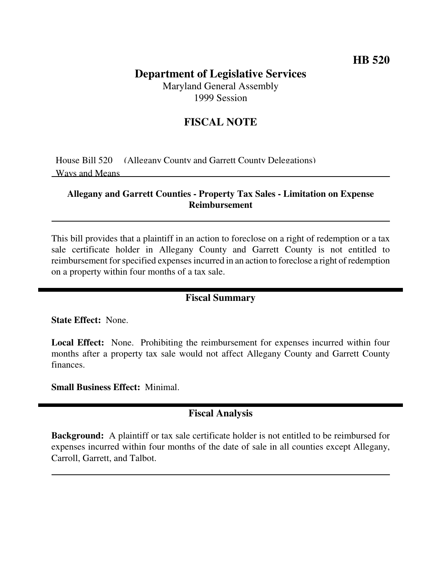# **Department of Legislative Services**

Maryland General Assembly 1999 Session

## **FISCAL NOTE**

House Bill 520 (Allegany County and Garrett County Delegations) Ways and Means

#### **Allegany and Garrett Counties - Property Tax Sales - Limitation on Expense Reimbursement**

This bill provides that a plaintiff in an action to foreclose on a right of redemption or a tax sale certificate holder in Allegany County and Garrett County is not entitled to reimbursement for specified expenses incurred in an action to foreclose a right of redemption on a property within four months of a tax sale.

#### **Fiscal Summary**

**State Effect:** None.

**Local Effect:** None. Prohibiting the reimbursement for expenses incurred within four months after a property tax sale would not affect Allegany County and Garrett County finances.

**Small Business Effect:** Minimal.

## **Fiscal Analysis**

**Background:** A plaintiff or tax sale certificate holder is not entitled to be reimbursed for expenses incurred within four months of the date of sale in all counties except Allegany, Carroll, Garrett, and Talbot.